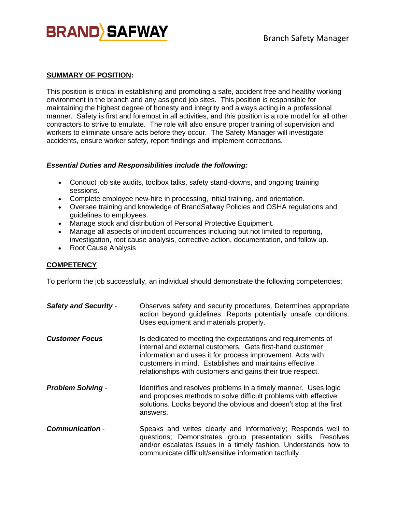

#### **SUMMARY OF POSITION:**

This position is critical in establishing and promoting a safe, accident free and healthy working environment in the branch and any assigned job sites. This position is responsible for maintaining the highest degree of honesty and integrity and always acting in a professional manner. Safety is first and foremost in all activities, and this position is a role model for all other contractors to strive to emulate. The role will also ensure proper training of supervision and workers to eliminate unsafe acts before they occur. The Safety Manager will investigate accidents, ensure worker safety, report findings and implement corrections.

#### *Essential Duties and Responsibilities include the following:*

- Conduct job site audits, toolbox talks, safety stand-downs, and ongoing training sessions.
- Complete employee new-hire in processing, initial training, and orientation.
- Oversee training and knowledge of BrandSafway Policies and OSHA regulations and guidelines to employees.
- Manage stock and distribution of Personal Protective Equipment.
- Manage all aspects of incident occurrences including but not limited to reporting, investigation, root cause analysis, corrective action, documentation, and follow up.
- Root Cause Analysis

## **COMPETENCY**

To perform the job successfully, an individual should demonstrate the following competencies:

| <b>Safety and Security -</b> | Observes safety and security procedures, Determines appropriate<br>action beyond guidelines. Reports potentially unsafe conditions.<br>Uses equipment and materials properly.                                                                                                                                   |
|------------------------------|-----------------------------------------------------------------------------------------------------------------------------------------------------------------------------------------------------------------------------------------------------------------------------------------------------------------|
| <b>Customer Focus</b>        | Is dedicated to meeting the expectations and requirements of<br>internal and external customers. Gets first-hand customer<br>information and uses it for process improvement. Acts with<br>customers in mind. Establishes and maintains effective<br>relationships with customers and gains their true respect. |
| <b>Problem Solving -</b>     | Identifies and resolves problems in a timely manner. Uses logic<br>and proposes methods to solve difficult problems with effective<br>solutions. Looks beyond the obvious and doesn't stop at the first<br>answers.                                                                                             |
| <b>Communication -</b>       | Speaks and writes clearly and informatively; Responds well to<br>questions; Demonstrates group presentation skills. Resolves<br>and/or escalates issues in a timely fashion. Understands how to<br>communicate difficult/sensitive information tactfully.                                                       |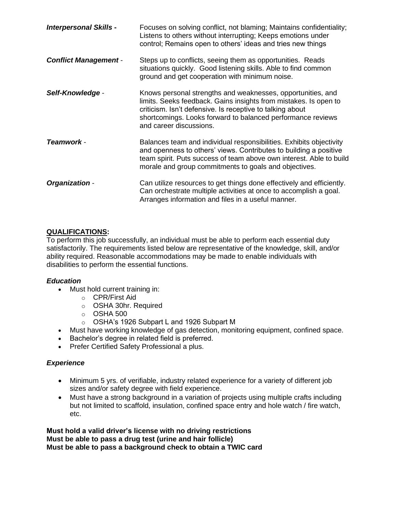| <b>Interpersonal Skills -</b> | Focuses on solving conflict, not blaming; Maintains confidentiality;<br>Listens to others without interrupting; Keeps emotions under<br>control; Remains open to others' ideas and tries new things                                                                                    |
|-------------------------------|----------------------------------------------------------------------------------------------------------------------------------------------------------------------------------------------------------------------------------------------------------------------------------------|
| <b>Conflict Management -</b>  | Steps up to conflicts, seeing them as opportunities. Reads<br>situations quickly. Good listening skills. Able to find common<br>ground and get cooperation with minimum noise.                                                                                                         |
| Self-Knowledge -              | Knows personal strengths and weaknesses, opportunities, and<br>limits. Seeks feedback. Gains insights from mistakes. Is open to<br>criticism. Isn't defensive. Is receptive to talking about<br>shortcomings. Looks forward to balanced performance reviews<br>and career discussions. |
| Teamwork -                    | Balances team and individual responsibilities. Exhibits objectivity<br>and openness to others' views. Contributes to building a positive<br>team spirit. Puts success of team above own interest. Able to build<br>morale and group commitments to goals and objectives.               |
| Organization -                | Can utilize resources to get things done effectively and efficiently.<br>Can orchestrate multiple activities at once to accomplish a goal.<br>Arranges information and files in a useful manner.                                                                                       |

## **QUALIFICATIONS:**

To perform this job successfully, an individual must be able to perform each essential duty satisfactorily. The requirements listed below are representative of the knowledge, skill, and/or ability required. Reasonable accommodations may be made to enable individuals with disabilities to perform the essential functions.

## *Education*

- Must hold current training in:
	- o CPR/First Aid
	- o OSHA 30hr. Required
	- $\circ$  OSHA 500
	- o OSHA's 1926 Subpart L and 1926 Subpart M
- Must have working knowledge of gas detection, monitoring equipment, confined space.
- Bachelor's degree in related field is preferred.
- Prefer Certified Safety Professional a plus.

# *Experience*

- Minimum 5 yrs. of verifiable, industry related experience for a variety of different job sizes and/or safety degree with field experience.
- Must have a strong background in a variation of projects using multiple crafts including but not limited to scaffold, insulation, confined space entry and hole watch / fire watch, etc.

**Must hold a valid driver's license with no driving restrictions Must be able to pass a drug test (urine and hair follicle) Must be able to pass a background check to obtain a TWIC card**